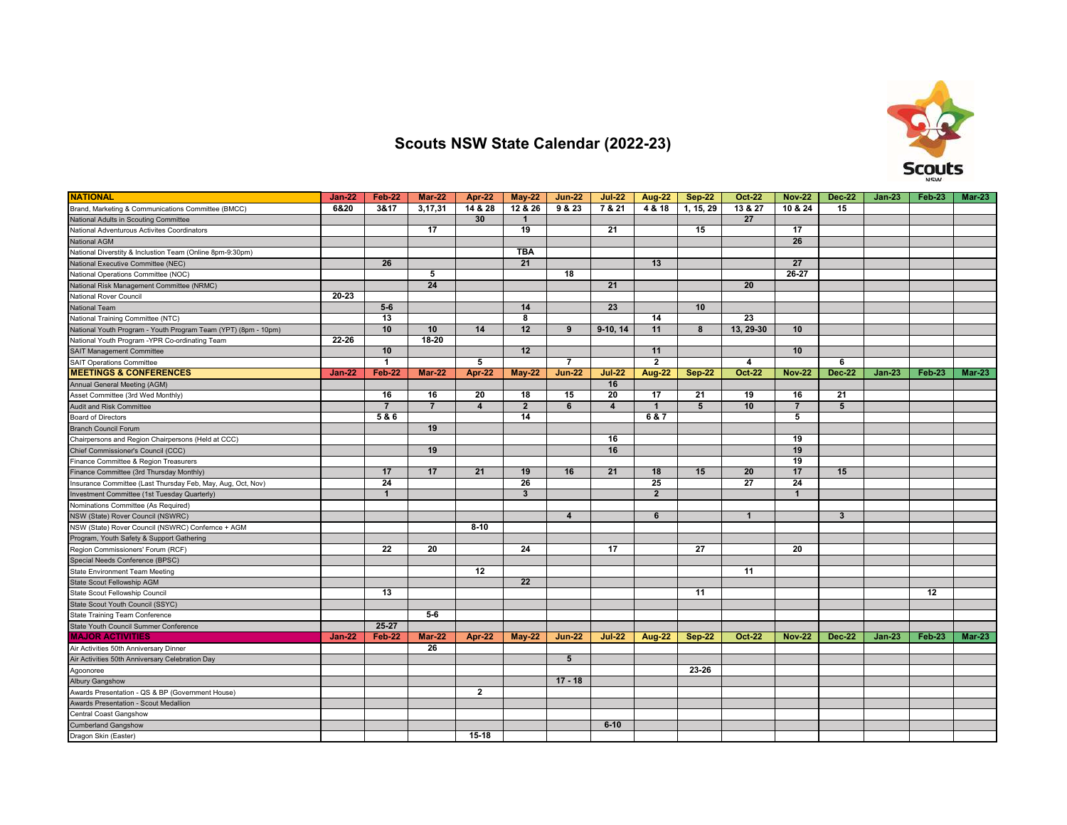

## **Scouts NSW State Calendar (2022-23)**

| <b>NATIONAL</b>                                                | <b>Jan-22</b> | Feb-22          | $Mar-22$        | Apr-22                  | $May-22$                | $Jun-22$         | <b>Jul-22</b>  | Aug-22         | <b>Sep-22</b> | <b>Oct-22</b> | <b>Nov-22</b>  | <b>Dec-22</b> | <b>Jan-23</b> | Feb-23        | <b>Mar-23</b> |
|----------------------------------------------------------------|---------------|-----------------|-----------------|-------------------------|-------------------------|------------------|----------------|----------------|---------------|---------------|----------------|---------------|---------------|---------------|---------------|
| Brand, Marketing & Communications Committee (BMCC)             | 6&20          | 3&17            | 3,17,31         | 14 & 28                 | 12 & 26                 | 9 & 23           | 7 & 21         | 4 & 18         | 1, 15, 29     | 13 & 27       | 10 & 24        | 15            |               |               |               |
| National Adults in Scouting Committee                          |               |                 |                 | 30                      | $\overline{\mathbf{1}}$ |                  |                |                |               | 27            |                |               |               |               |               |
| National Adventurous Activites Coordinators                    |               |                 | 17              |                         | 19                      |                  | 21             |                | 15            |               | 17             |               |               |               |               |
| <b>National AGM</b>                                            |               |                 |                 |                         |                         |                  |                |                |               |               | 26             |               |               |               |               |
| National Diverstity & Inclustion Team (Online 8pm-9:30pm)      |               |                 |                 |                         | <b>TBA</b>              |                  |                |                |               |               |                |               |               |               |               |
| National Executive Committee (NEC)                             |               | 26              |                 |                         | 21                      |                  |                | 13             |               |               | 27             |               |               |               |               |
| National Operations Committee (NOC)                            |               |                 | 5               |                         |                         | 18               |                |                |               |               | 26-27          |               |               |               |               |
| National Risk Management Committee (NRMC)                      |               |                 | 24              |                         |                         |                  | 21             |                |               | 20            |                |               |               |               |               |
| National Rover Council                                         | 20-23         |                 |                 |                         |                         |                  |                |                |               |               |                |               |               |               |               |
| National Team                                                  |               | $5 - 6$         |                 |                         | 14                      |                  | 23             |                | 10            |               |                |               |               |               |               |
| National Training Committee (NTC)                              |               | $\overline{13}$ |                 |                         | 8                       |                  |                | 14             |               | 23            |                |               |               |               |               |
| National Youth Program - Youth Program Team (YPT) (8pm - 10pm) |               | 10              | 10              | 14                      | 12                      | 9                | $9-10, 14$     | 11             | 8             | 13, 29-30     | 10             |               |               |               |               |
| National Youth Program - YPR Co-ordinating Team                | 22-26         |                 | 18-20           |                         |                         |                  |                |                |               |               |                |               |               |               |               |
| <b>SAIT Management Committee</b>                               |               | 10              |                 |                         | 12                      |                  |                | 11             |               |               | 10             |               |               |               |               |
| <b>SAIT Operations Committee</b>                               |               | $\mathbf{1}$    |                 | 5                       |                         | $\overline{7}$   |                | $\overline{2}$ |               | 4             |                | 6             |               |               |               |
| <b>MEETINGS &amp; CONFERENCES</b>                              | <b>Jan-22</b> | Feb-22          | <b>Mar-22</b>   | Apr-22                  | <b>May-22</b>           | <b>Jun-22</b>    | <b>Jul-22</b>  | <b>Aug-22</b>  | <b>Sep-22</b> | <b>Oct-22</b> | <b>Nov-22</b>  | <b>Dec-22</b> | $Jan-23$      | <b>Feb-23</b> | $Mar-23$      |
| Annual General Meeting (AGM)                                   |               |                 |                 |                         |                         |                  | 16             |                |               |               |                |               |               |               |               |
| Asset Committee (3rd Wed Monthly)                              |               | 16              | 16              | 20                      | 18                      | 15               | 20             | 17             | 21            | 19            | 16             | 21            |               |               |               |
| <b>Audit and Risk Committee</b>                                |               | $\overline{7}$  | $\overline{7}$  | $\overline{\mathbf{4}}$ | $\overline{2}$          | 6                | $\overline{4}$ | $\mathbf{1}$   | 5             | 10            | $\overline{7}$ | 5             |               |               |               |
| <b>Board of Directors</b>                                      |               | 5 & 6           |                 |                         | 14                      |                  |                | 6 & 7          |               |               | 5              |               |               |               |               |
| <b>Branch Council Forum</b>                                    |               |                 | 19              |                         |                         |                  |                |                |               |               |                |               |               |               |               |
| Chairpersons and Region Chairpersons (Held at CCC)             |               |                 |                 |                         |                         |                  | 16             |                |               |               | 19             |               |               |               |               |
| Chief Commissioner's Council (CCC)                             |               |                 | 19              |                         |                         |                  | 16             |                |               |               | 19             |               |               |               |               |
| Finance Committee & Region Treasurers                          |               |                 |                 |                         |                         |                  |                |                |               |               | 19             |               |               |               |               |
| Finance Committee (3rd Thursday Monthly)                       |               | 17              | $\overline{17}$ | 21                      | 19                      | 16               | 21             | 18             | 15            | 20            | 17             | 15            |               |               |               |
| Insurance Committee (Last Thursday Feb, May, Aug, Oct, Nov)    |               | 24              |                 |                         | 26                      |                  |                | 25             |               | 27            | 24             |               |               |               |               |
| Investment Committee (1st Tuesday Quarterly)                   |               | $\mathbf{1}$    |                 |                         | $\overline{\mathbf{3}}$ |                  |                | $\overline{2}$ |               |               | $\mathbf{1}$   |               |               |               |               |
| Nominations Committee (As Required)                            |               |                 |                 |                         |                         |                  |                |                |               |               |                |               |               |               |               |
| NSW (State) Rover Council (NSWRC)                              |               |                 |                 |                         |                         | $\boldsymbol{4}$ |                | 6              |               | $\mathbf{1}$  |                | $\mathbf{3}$  |               |               |               |
| NSW (State) Rover Council (NSWRC) Confernce + AGM              |               |                 |                 | $8-10$                  |                         |                  |                |                |               |               |                |               |               |               |               |
| Program, Youth Safety & Support Gathering                      |               |                 |                 |                         |                         |                  |                |                |               |               |                |               |               |               |               |
| Region Commissioners' Forum (RCF)                              |               | 22              | 20              |                         | 24                      |                  | 17             |                | 27            |               | 20             |               |               |               |               |
| Special Needs Conference (BPSC)                                |               |                 |                 |                         |                         |                  |                |                |               |               |                |               |               |               |               |
| State Environment Team Meeting                                 |               |                 |                 | 12                      |                         |                  |                |                |               | 11            |                |               |               |               |               |
| State Scout Fellowship AGM                                     |               |                 |                 |                         | 22                      |                  |                |                |               |               |                |               |               |               |               |
| State Scout Fellowship Council                                 |               | 13              |                 |                         |                         |                  |                |                | 11            |               |                |               |               | 12            |               |
| State Scout Youth Council (SSYC)                               |               |                 |                 |                         |                         |                  |                |                |               |               |                |               |               |               |               |
| <b>State Training Team Conference</b>                          |               |                 | 5-6             |                         |                         |                  |                |                |               |               |                |               |               |               |               |
| State Youth Council Summer Conference                          |               | 25-27           |                 |                         |                         |                  |                |                |               |               |                |               |               |               |               |
| <b>MAJOR ACTIVITIES</b>                                        | <b>Jan-22</b> | Feb-22          | <b>Mar-22</b>   | Apr-22                  | $May-22$                | <b>Jun-22</b>    | <b>Jul-22</b>  | <b>Aug-22</b>  | <b>Sep-22</b> | <b>Oct-22</b> | <b>Nov-22</b>  | <b>Dec-22</b> | $Jan-23$      | Feb-23        | <b>Mar-23</b> |
| Air Activities 50th Anniversary Dinner                         |               |                 | 26              |                         |                         |                  |                |                |               |               |                |               |               |               |               |
| Air Activities 50th Anniversary Celebration Day                |               |                 |                 |                         |                         | 5                |                |                |               |               |                |               |               |               |               |
| Agoonoree                                                      |               |                 |                 |                         |                         |                  |                |                | 23-26         |               |                |               |               |               |               |
| Albury Gangshow                                                |               |                 |                 |                         |                         | $17 - 18$        |                |                |               |               |                |               |               |               |               |
| Awards Presentation - QS & BP (Government House)               |               |                 |                 | $\mathbf{2}$            |                         |                  |                |                |               |               |                |               |               |               |               |
| Awards Presentation - Scout Medallion                          |               |                 |                 |                         |                         |                  |                |                |               |               |                |               |               |               |               |
| Central Coast Gangshow                                         |               |                 |                 |                         |                         |                  |                |                |               |               |                |               |               |               |               |
| <b>Cumberland Gangshow</b>                                     |               |                 |                 |                         |                         |                  | $6 - 10$       |                |               |               |                |               |               |               |               |
| Dragon Skin (Easter)                                           |               |                 |                 | $15-18$                 |                         |                  |                |                |               |               |                |               |               |               |               |